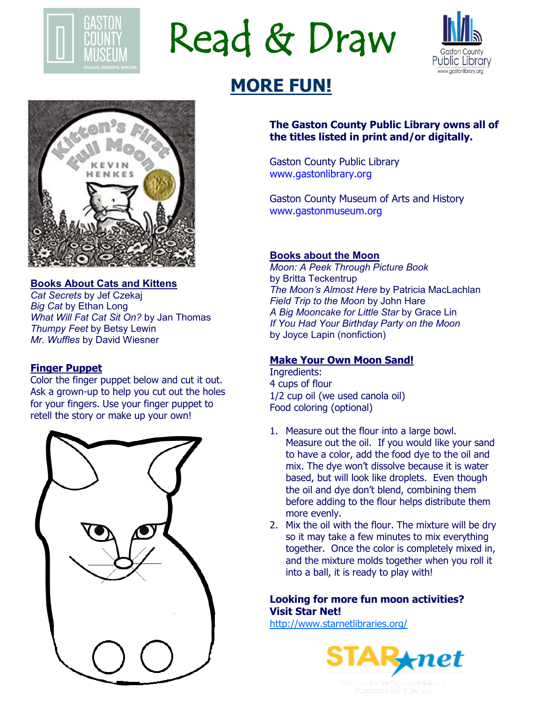

Read & Draw



# **MORE FUN!**



#### **Books About Cats and Kittens** *Cat Secrets* by Jef Czekaj *Big Cat* by Ethan Long *What Will Fat Cat Sit On?* by Jan Thomas *Thumpy Feet* by Betsy Lewin *Mr. Wuffles* by David Wiesner

#### **Finger Puppet**

Color the finger puppet below and cut it out. Ask a grown-up to help you cut out the holes for your fingers. Use your finger puppet to retell the story or make up your own!



#### **The Gaston County Public Library owns all of the titles listed in print and/or digitally.**

Gaston County Public Library www.gastonlibrary.org

Gaston County Museum of Arts and History www.gastonmuseum.org

#### **Books about the Moon**

*Moon: A Peek Through Picture Book*  by Britta Teckentrup *The Moon's Almost Here* by Patricia MacLachlan *Field Trip to the Moon* by John Hare *A Big Mooncake for Little Star* by Grace Lin *If You Had Your Birthday Party on the Moon*  by Joyce Lapin (nonfiction)

#### **Make Your Own Moon Sand!**

Ingredients: 4 cups of flour 1/2 cup oil (we used canola oil) Food coloring (optional)

- 1. Measure out the flour into a large bowl. Measure out the oil. If you would like your sand to have a color, add the food dye to the oil and mix. The dye won't dissolve because it is water based, but will look like droplets. Even though the oil and dye don't blend, combining them before adding to the flour helps distribute them more evenly.
- 2. Mix the oil with the flour. The mixture will be dry so it may take a few minutes to mix everything together. Once the color is completely mixed in, and the mixture molds together when you roll it into a ball, it is ready to play with!

### **Looking for more fun moon activities? Visit Star Net!**

<http://www.starnetlibraries.org/>